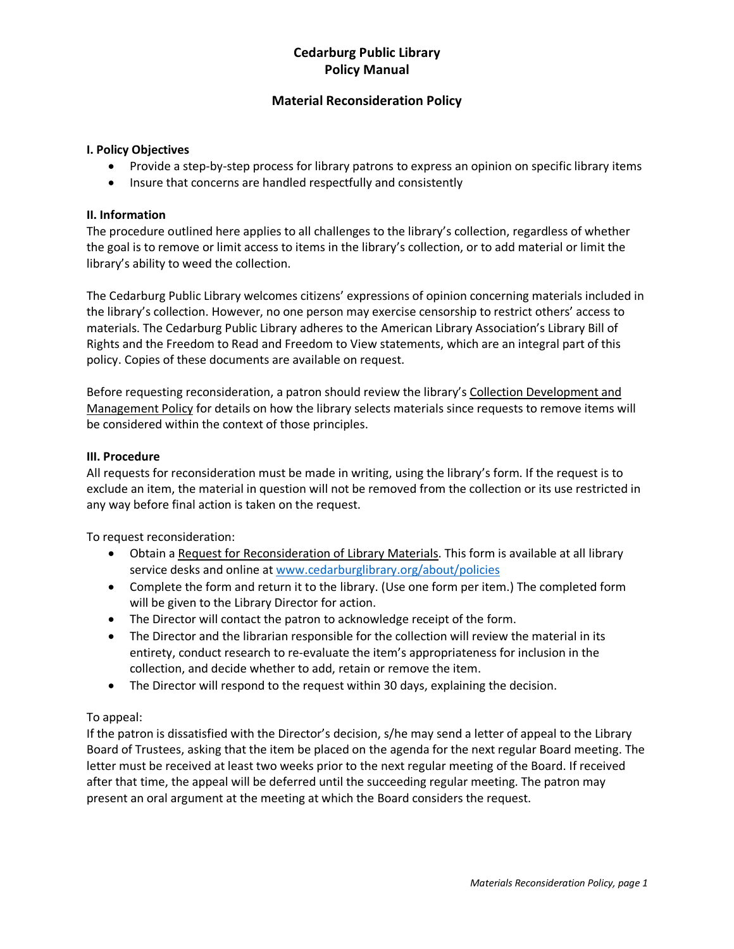# **Cedarburg Public Library Policy Manual**

### **Material Reconsideration Policy**

### **I. Policy Objectives**

- Provide a step-by-step process for library patrons to express an opinion on specific library items
- Insure that concerns are handled respectfully and consistently

#### **II. Information**

The procedure outlined here applies to all challenges to the library's collection, regardless of whether the goal is to remove or limit access to items in the library's collection, or to add material or limit the library's ability to weed the collection.

The Cedarburg Public Library welcomes citizens' expressions of opinion concerning materials included in the library's collection. However, no one person may exercise censorship to restrict others' access to materials. The Cedarburg Public Library adheres to the American Library Association's Library Bill of Rights and the Freedom to Read and Freedom to View statements, which are an integral part of this policy. Copies of these documents are available on request.

Before requesting reconsideration, a patron should review the library's Collection Development and Management Policy for details on how the library selects materials since requests to remove items will be considered within the context of those principles.

#### **III. Procedure**

All requests for reconsideration must be made in writing, using the library's form. If the request is to exclude an item, the material in question will not be removed from the collection or its use restricted in any way before final action is taken on the request.

To request reconsideration:

- Obtain a Request for Reconsideration of Library Materials. This form is available at all library service desks and online at www.cedarburglibrary.org/about/policies
- Complete the form and return it to the library. (Use one form per item.) The completed form will be given to the Library Director for action.
- The Director will contact the patron to acknowledge receipt of the form.
- The Director and the librarian responsible for the collection will review the material in its entirety, conduct research to re-evaluate the item's appropriateness for inclusion in the collection, and decide whether to add, retain or remove the item.
- The Director will respond to the request within 30 days, explaining the decision.

### To appeal:

If the patron is dissatisfied with the Director's decision, s/he may send a letter of appeal to the Library Board of Trustees, asking that the item be placed on the agenda for the next regular Board meeting. The letter must be received at least two weeks prior to the next regular meeting of the Board. If received after that time, the appeal will be deferred until the succeeding regular meeting. The patron may present an oral argument at the meeting at which the Board considers the request.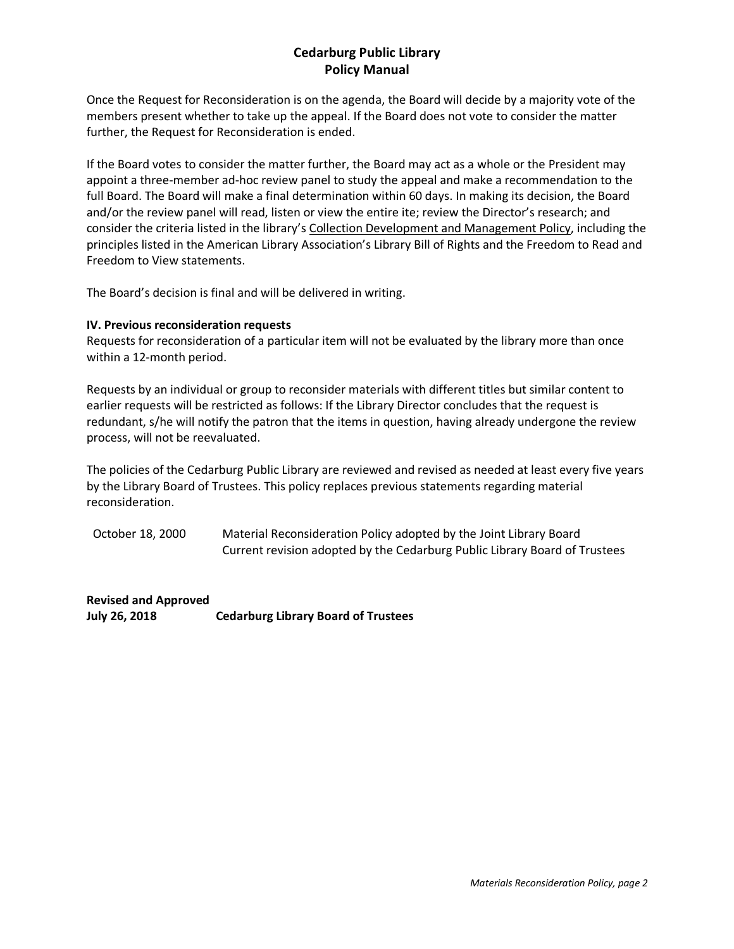# **Cedarburg Public Library Policy Manual**

Once the Request for Reconsideration is on the agenda, the Board will decide by a majority vote of the members present whether to take up the appeal. If the Board does not vote to consider the matter further, the Request for Reconsideration is ended.

If the Board votes to consider the matter further, the Board may act as a whole or the President may appoint a three-member ad-hoc review panel to study the appeal and make a recommendation to the full Board. The Board will make a final determination within 60 days. In making its decision, the Board and/or the review panel will read, listen or view the entire ite; review the Director's research; and consider the criteria listed in the library's Collection Development and Management Policy, including the principles listed in the American Library Association's Library Bill of Rights and the Freedom to Read and Freedom to View statements.

The Board's decision is final and will be delivered in writing.

#### **IV. Previous reconsideration requests**

Requests for reconsideration of a particular item will not be evaluated by the library more than once within a 12-month period.

Requests by an individual or group to reconsider materials with different titles but similar content to earlier requests will be restricted as follows: If the Library Director concludes that the request is redundant, s/he will notify the patron that the items in question, having already undergone the review process, will not be reevaluated.

The policies of the Cedarburg Public Library are reviewed and revised as needed at least every five years by the Library Board of Trustees. This policy replaces previous statements regarding material reconsideration.

October 18, 2000 Material Reconsideration Policy adopted by the Joint Library Board Current revision adopted by the Cedarburg Public Library Board of Trustees

**Revised and Approved July 26, 2018 Cedarburg Library Board of Trustees**